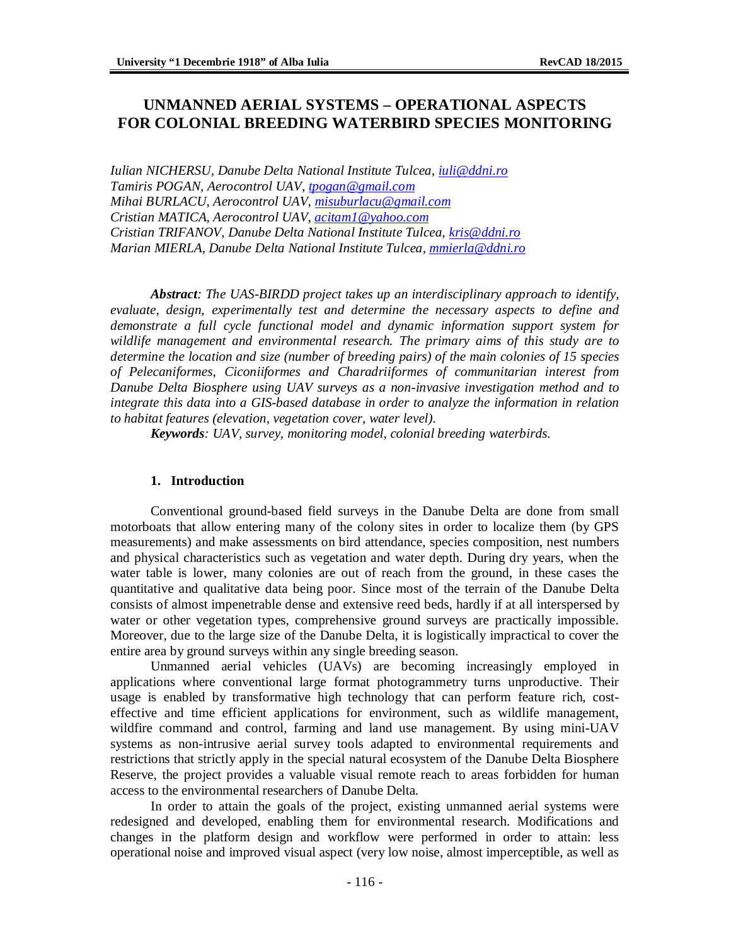# **UNMANNED AERIAL SYSTEMS – OPERATIONAL ASPECTS FOR COLONIAL BREEDING WATERBIRD SPECIES MONITORING**

*Iulian NICHERSU, Danube Delta National Institute Tulcea, [iuli@ddni.ro](mailto:iuli@ddni.ro) Tamiris POGAN, Aerocontrol UAV, [tpogan@gmail.com](mailto:tpogan@gmail.com) Mihai BURLACU, Aerocontrol UAV, [misuburlacu@gmail.com](mailto:misuburlacu@gmail.com) Cristian MATICA, Aerocontrol UAV, [acitam1@yahoo.com](mailto:acitam1@yahoo.com) Cristian TRIFANOV, Danube Delta National Institute Tulcea, [kris@ddni.ro](mailto:kris@ddni.ro) Marian MIERLA, Danube Delta National Institute Tulcea, [mmierla@ddni.ro](mailto:mmierla@ddni.ro)*

*Abstract: The UAS-BIRDD project takes up an interdisciplinary approach to identify, evaluate, design, experimentally test and determine the necessary aspects to define and demonstrate a full cycle functional model and dynamic information support system for wildlife management and environmental research. The primary aims of this study are to determine the location and size (number of breeding pairs) of the main colonies of 15 species of Pelecaniformes, Ciconiiformes and Charadriiformes of communitarian interest from Danube Delta Biosphere using UAV surveys as a non-invasive investigation method and to integrate this data into a GIS-based database in order to analyze the information in relation to habitat features (elevation, vegetation cover, water level).*

*Keywords: UAV, survey, monitoring model, colonial breeding waterbirds.*

## **1. Introduction**

Conventional ground-based field surveys in the Danube Delta are done from small motorboats that allow entering many of the colony sites in order to localize them (by GPS measurements) and make assessments on bird attendance, species composition, nest numbers and physical characteristics such as vegetation and water depth. During dry years, when the water table is lower, many colonies are out of reach from the ground, in these cases the quantitative and qualitative data being poor. Since most of the terrain of the Danube Delta consists of almost impenetrable dense and extensive reed beds, hardly if at all interspersed by water or other vegetation types, comprehensive ground surveys are practically impossible. Moreover, due to the large size of the Danube Delta, it is logistically impractical to cover the entire area by ground surveys within any single breeding season.

Unmanned aerial vehicles (UAVs) are becoming increasingly employed in applications where conventional large format photogrammetry turns unproductive. Their usage is enabled by transformative high technology that can perform feature rich, costeffective and time efficient applications for environment, such as wildlife management, wildfire command and control, farming and land use management. By using mini-UAV systems as non-intrusive aerial survey tools adapted to environmental requirements and restrictions that strictly apply in the special natural ecosystem of the Danube Delta Biosphere Reserve, the project provides a valuable visual remote reach to areas forbidden for human access to the environmental researchers of Danube Delta.

In order to attain the goals of the project, existing unmanned aerial systems were redesigned and developed, enabling them for environmental research. Modifications and changes in the platform design and workflow were performed in order to attain: less operational noise and improved visual aspect (very low noise, almost imperceptible, as well as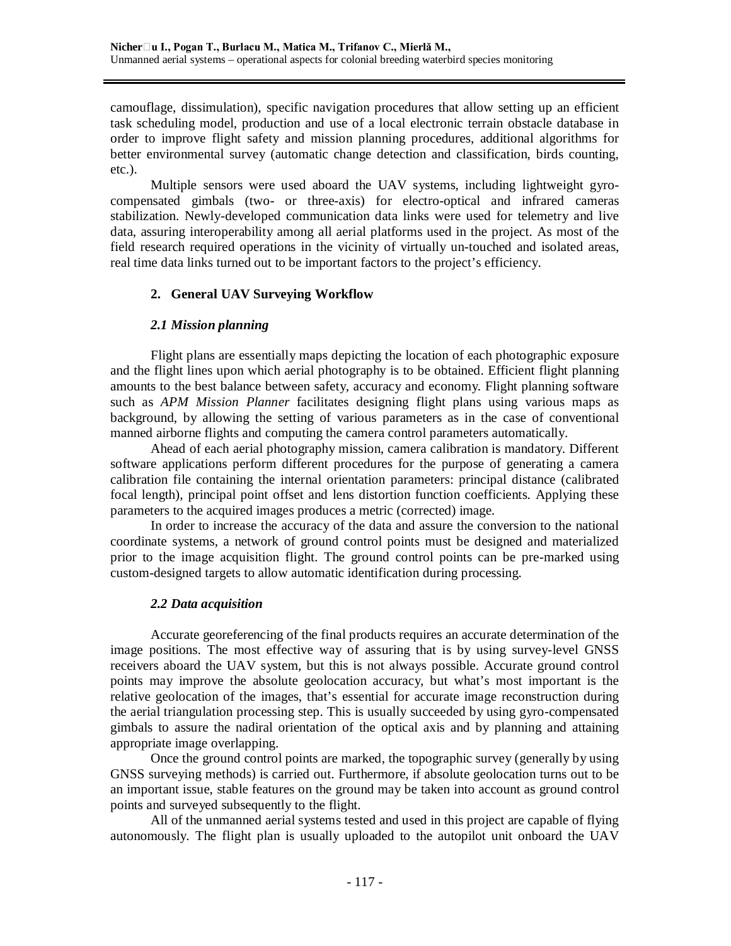camouflage, dissimulation), specific navigation procedures that allow setting up an efficient task scheduling model, production and use of a local electronic terrain obstacle database in order to improve flight safety and mission planning procedures, additional algorithms for better environmental survey (automatic change detection and classification, birds counting, etc.).

Multiple sensors were used aboard the UAV systems, including lightweight gyrocompensated gimbals (two- or three-axis) for electro-optical and infrared cameras stabilization. Newly-developed communication data links were used for telemetry and live data, assuring interoperability among all aerial platforms used in the project. As most of the field research required operations in the vicinity of virtually un-touched and isolated areas, real time data links turned out to be important factors to the project's efficiency.

## **2. General UAV Surveying Workflow**

## *2.1 Mission planning*

Flight plans are essentially maps depicting the location of each photographic exposure and the flight lines upon which aerial photography is to be obtained. Efficient flight planning amounts to the best balance between safety, accuracy and economy. Flight planning software such as *APM Mission Planner* facilitates designing flight plans using various maps as background, by allowing the setting of various parameters as in the case of conventional manned airborne flights and computing the camera control parameters automatically.

Ahead of each aerial photography mission, camera calibration is mandatory. Different software applications perform different procedures for the purpose of generating a camera calibration file containing the internal orientation parameters: principal distance (calibrated focal length), principal point offset and lens distortion function coefficients. Applying these parameters to the acquired images produces a metric (corrected) image.

In order to increase the accuracy of the data and assure the conversion to the national coordinate systems, a network of ground control points must be designed and materialized prior to the image acquisition flight. The ground control points can be pre-marked using custom-designed targets to allow automatic identification during processing.

## *2.2 Data acquisition*

Accurate georeferencing of the final products requires an accurate determination of the image positions. The most effective way of assuring that is by using survey-level GNSS receivers aboard the UAV system, but this is not always possible. Accurate ground control points may improve the absolute geolocation accuracy, but what's most important is the relative geolocation of the images, that's essential for accurate image reconstruction during the aerial triangulation processing step. This is usually succeeded by using gyro-compensated gimbals to assure the nadiral orientation of the optical axis and by planning and attaining appropriate image overlapping.

Once the ground control points are marked, the topographic survey (generally by using GNSS surveying methods) is carried out. Furthermore, if absolute geolocation turns out to be an important issue, stable features on the ground may be taken into account as ground control points and surveyed subsequently to the flight.

All of the unmanned aerial systems tested and used in this project are capable of flying autonomously. The flight plan is usually uploaded to the autopilot unit onboard the UAV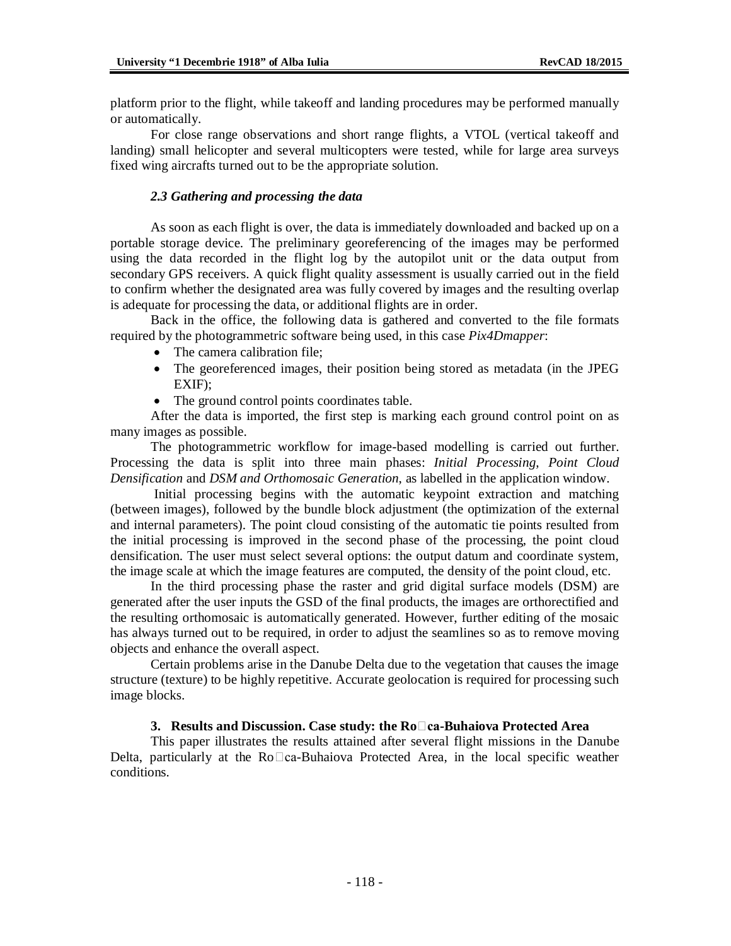platform prior to the flight, while takeoff and landing procedures may be performed manually or automatically.

For close range observations and short range flights, a VTOL (vertical takeoff and landing) small helicopter and several multicopters were tested, while for large area surveys fixed wing aircrafts turned out to be the appropriate solution.

### *2.3 Gathering and processing the data*

As soon as each flight is over, the data is immediately downloaded and backed up on a portable storage device. The preliminary georeferencing of the images may be performed using the data recorded in the flight log by the autopilot unit or the data output from secondary GPS receivers. A quick flight quality assessment is usually carried out in the field to confirm whether the designated area was fully covered by images and the resulting overlap is adequate for processing the data, or additional flights are in order.

Back in the office, the following data is gathered and converted to the file formats required by the photogrammetric software being used, in this case *Pix4Dmapper*:

- The camera calibration file;
- The georeferenced images, their position being stored as metadata (in the JPEG EXIF);
- The ground control points coordinates table.

After the data is imported, the first step is marking each ground control point on as many images as possible.

The photogrammetric workflow for image-based modelling is carried out further. Processing the data is split into three main phases: *Initial Processing*, *Point Cloud Densification* and *DSM and Orthomosaic Generation*, as labelled in the application window.

Initial processing begins with the automatic keypoint extraction and matching (between images), followed by the bundle block adjustment (the optimization of the external and internal parameters). The point cloud consisting of the automatic tie points resulted from the initial processing is improved in the second phase of the processing, the point cloud densification. The user must select several options: the output datum and coordinate system, the image scale at which the image features are computed, the density of the point cloud, etc.

In the third processing phase the raster and grid digital surface models (DSM) are generated after the user inputs the GSD of the final products, the images are orthorectified and the resulting orthomosaic is automatically generated. However, further editing of the mosaic has always turned out to be required, in order to adjust the seamlines so as to remove moving objects and enhance the overall aspect.

Certain problems arise in the Danube Delta due to the vegetation that causes the image structure (texture) to be highly repetitive. Accurate geolocation is required for processing such image blocks.

#### **3. Results and Discussion. Case study: the Roca-Buhaiova Protected Area**

This paper illustrates the results attained after several flight missions in the Danube Delta, particularly at the  $Ro\Box ca-Buhaiova$  Protected Area, in the local specific weather conditions.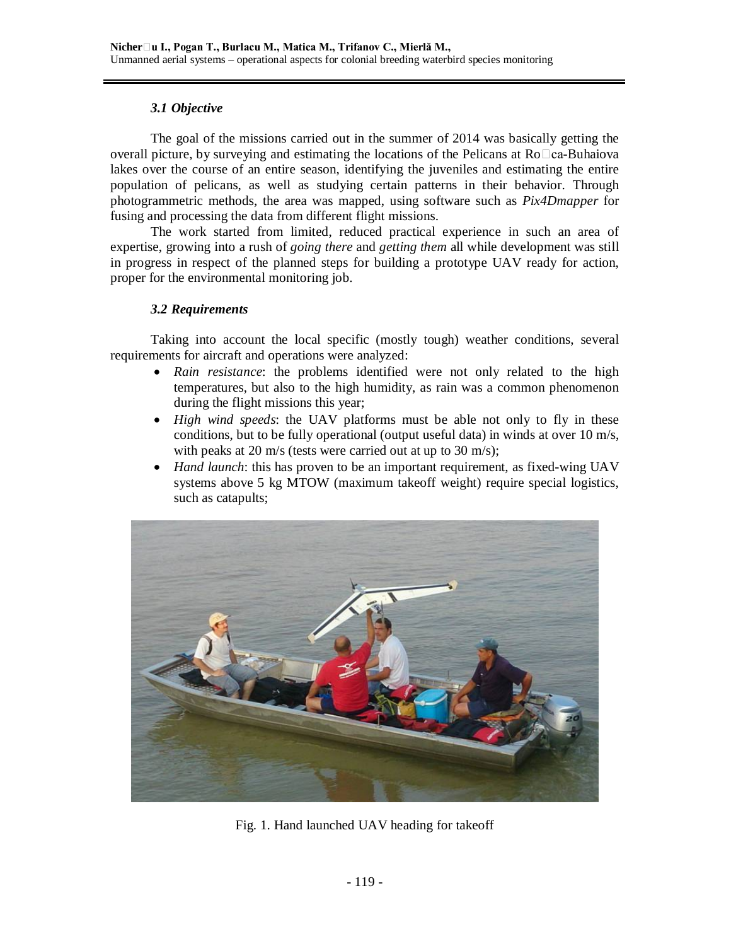# *3.1 Objective*

The goal of the missions carried out in the summer of 2014 was basically getting the overall picture, by surveying and estimating the locations of the Pelicans at  $Ro \Box ca$ -Buhaiova lakes over the course of an entire season, identifying the juveniles and estimating the entire population of pelicans, as well as studying certain patterns in their behavior. Through photogrammetric methods, the area was mapped, using software such as *Pix4Dmapper* for fusing and processing the data from different flight missions.

The work started from limited, reduced practical experience in such an area of expertise, growing into a rush of *going there* and *getting them* all while development was still in progress in respect of the planned steps for building a prototype UAV ready for action, proper for the environmental monitoring job.

# *3.2 Requirements*

Taking into account the local specific (mostly tough) weather conditions, several requirements for aircraft and operations were analyzed:

- *Rain resistance*: the problems identified were not only related to the high temperatures, but also to the high humidity, as rain was a common phenomenon during the flight missions this year;
- *High wind speeds*: the UAV platforms must be able not only to fly in these conditions, but to be fully operational (output useful data) in winds at over 10 m/s, with peaks at 20 m/s (tests were carried out at up to 30 m/s);
- *Hand launch*: this has proven to be an important requirement, as fixed-wing UAV systems above 5 kg MTOW (maximum takeoff weight) require special logistics, such as catapults;



Fig. 1. Hand launched UAV heading for takeoff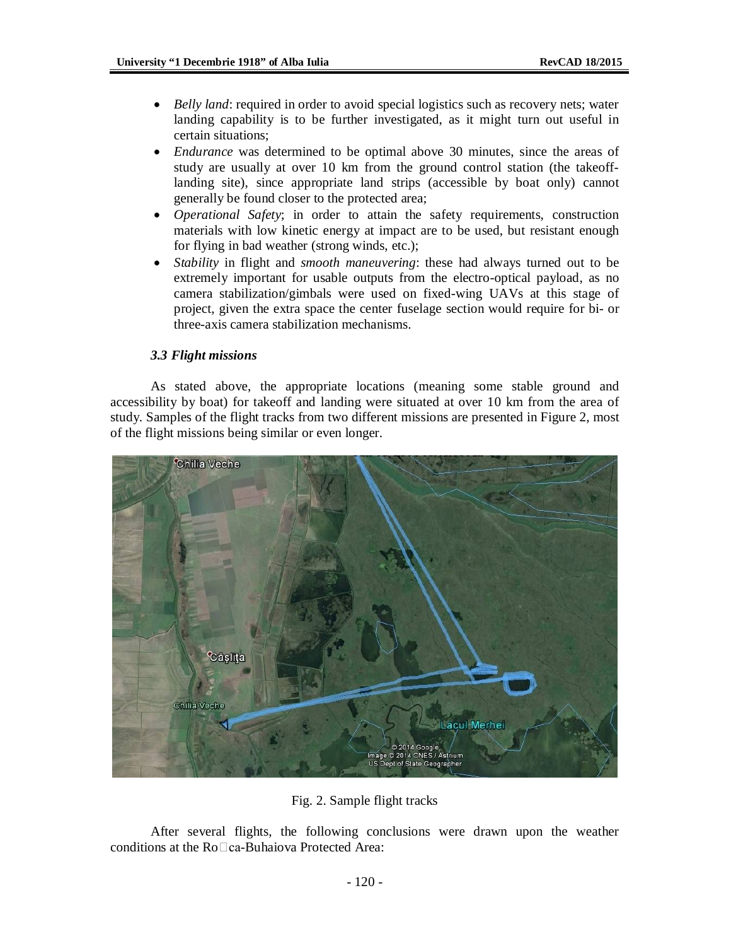- *Belly land*: required in order to avoid special logistics such as recovery nets; water landing capability is to be further investigated, as it might turn out useful in certain situations;
- *Endurance* was determined to be optimal above 30 minutes, since the areas of study are usually at over 10 km from the ground control station (the takeofflanding site), since appropriate land strips (accessible by boat only) cannot generally be found closer to the protected area;
- *Operational Safety*; in order to attain the safety requirements, construction materials with low kinetic energy at impact are to be used, but resistant enough for flying in bad weather (strong winds, etc.);
- *Stability* in flight and *smooth maneuvering*: these had always turned out to be extremely important for usable outputs from the electro-optical payload, as no camera stabilization/gimbals were used on fixed-wing UAVs at this stage of project, given the extra space the center fuselage section would require for bi- or three-axis camera stabilization mechanisms.

#### *3.3 Flight missions*

As stated above, the appropriate locations (meaning some stable ground and accessibility by boat) for takeoff and landing were situated at over 10 km from the area of study. Samples of the flight tracks from two different missions are presented in Figure 2, most of the flight missions being similar or even longer.



Fig. 2. Sample flight tracks

After several flights, the following conclusions were drawn upon the weather conditions at the  $Ro \square ca$ -Buhaiova Protected Area: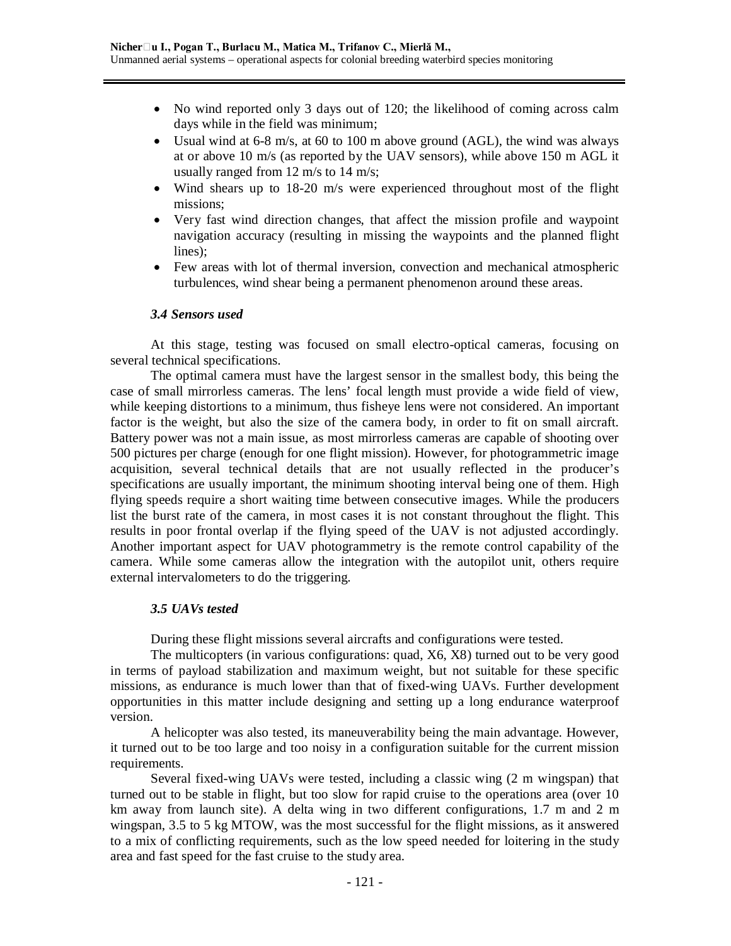- No wind reported only 3 days out of 120; the likelihood of coming across calm days while in the field was minimum;
- Usual wind at 6-8 m/s, at 60 to 100 m above ground (AGL), the wind was always at or above 10 m/s (as reported by the UAV sensors), while above 150 m AGL it usually ranged from 12 m/s to 14 m/s;
- Wind shears up to 18-20 m/s were experienced throughout most of the flight missions;
- Very fast wind direction changes, that affect the mission profile and waypoint navigation accuracy (resulting in missing the waypoints and the planned flight lines);
- Few areas with lot of thermal inversion, convection and mechanical atmospheric turbulences, wind shear being a permanent phenomenon around these areas.

#### *3.4 Sensors used*

At this stage, testing was focused on small electro-optical cameras, focusing on several technical specifications.

The optimal camera must have the largest sensor in the smallest body, this being the case of small mirrorless cameras. The lens' focal length must provide a wide field of view, while keeping distortions to a minimum, thus fisheye lens were not considered. An important factor is the weight, but also the size of the camera body, in order to fit on small aircraft. Battery power was not a main issue, as most mirrorless cameras are capable of shooting over 500 pictures per charge (enough for one flight mission). However, for photogrammetric image acquisition, several technical details that are not usually reflected in the producer's specifications are usually important, the minimum shooting interval being one of them. High flying speeds require a short waiting time between consecutive images. While the producers list the burst rate of the camera, in most cases it is not constant throughout the flight. This results in poor frontal overlap if the flying speed of the UAV is not adjusted accordingly. Another important aspect for UAV photogrammetry is the remote control capability of the camera. While some cameras allow the integration with the autopilot unit, others require external intervalometers to do the triggering.

#### *3.5 UAVs tested*

During these flight missions several aircrafts and configurations were tested.

The multicopters (in various configurations: quad, X6, X8) turned out to be very good in terms of payload stabilization and maximum weight, but not suitable for these specific missions, as endurance is much lower than that of fixed-wing UAVs. Further development opportunities in this matter include designing and setting up a long endurance waterproof version.

A helicopter was also tested, its maneuverability being the main advantage. However, it turned out to be too large and too noisy in a configuration suitable for the current mission requirements.

Several fixed-wing UAVs were tested, including a classic wing (2 m wingspan) that turned out to be stable in flight, but too slow for rapid cruise to the operations area (over 10 km away from launch site). A delta wing in two different configurations, 1.7 m and 2 m wingspan, 3.5 to 5 kg MTOW, was the most successful for the flight missions, as it answered to a mix of conflicting requirements, such as the low speed needed for loitering in the study area and fast speed for the fast cruise to the study area.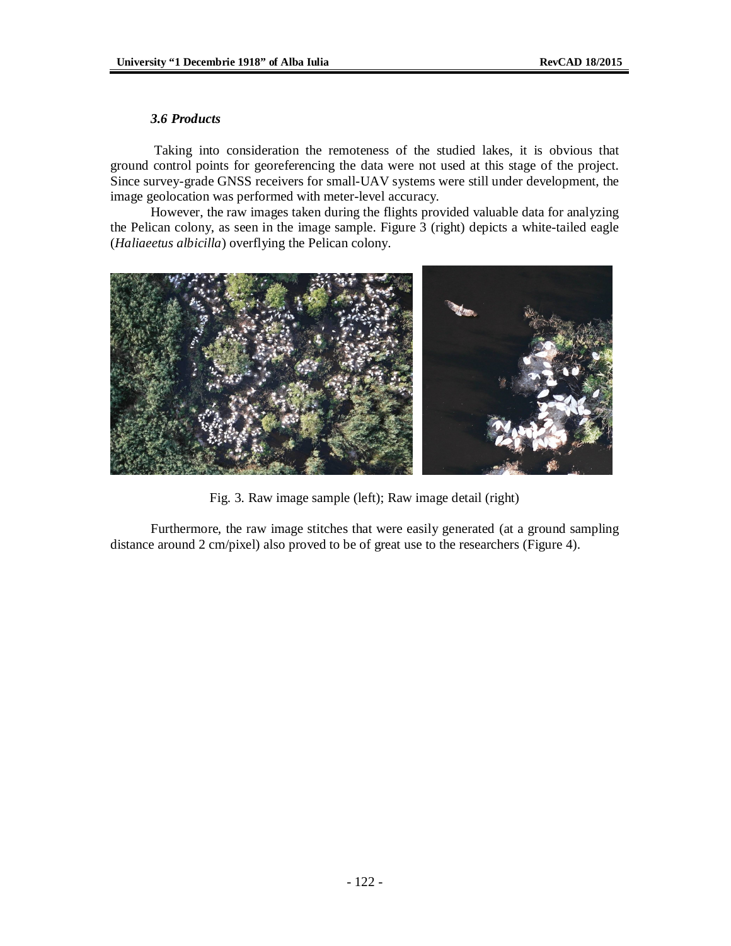## *3.6 Products*

Taking into consideration the remoteness of the studied lakes, it is obvious that ground control points for georeferencing the data were not used at this stage of the project. Since survey-grade GNSS receivers for small-UAV systems were still under development, the image geolocation was performed with meter-level accuracy.

However, the raw images taken during the flights provided valuable data for analyzing the Pelican colony, as seen in the image sample. Figure 3 (right) depicts a white-tailed eagle (*Haliaeetus albicilla*) overflying the Pelican colony.



Fig. 3. Raw image sample (left); Raw image detail (right)

Furthermore, the raw image stitches that were easily generated (at a ground sampling distance around 2 cm/pixel) also proved to be of great use to the researchers (Figure 4).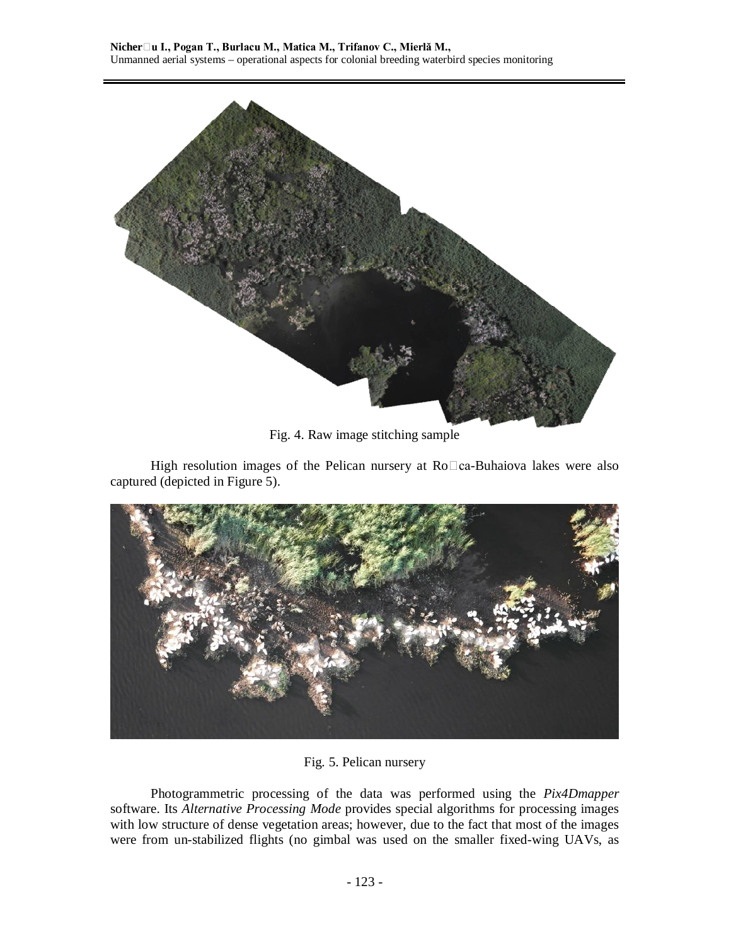

Fig. 4. Raw image stitching sample

High resolution images of the Pelican nursery at  $Ro\Box ca$ -Buhaiova lakes were also captured (depicted in Figure 5).



Fig. 5. Pelican nursery

Photogrammetric processing of the data was performed using the *Pix4Dmapper* software. Its *Alternative Processing Mode* provides special algorithms for processing images with low structure of dense vegetation areas; however, due to the fact that most of the images were from un-stabilized flights (no gimbal was used on the smaller fixed-wing UAVs, as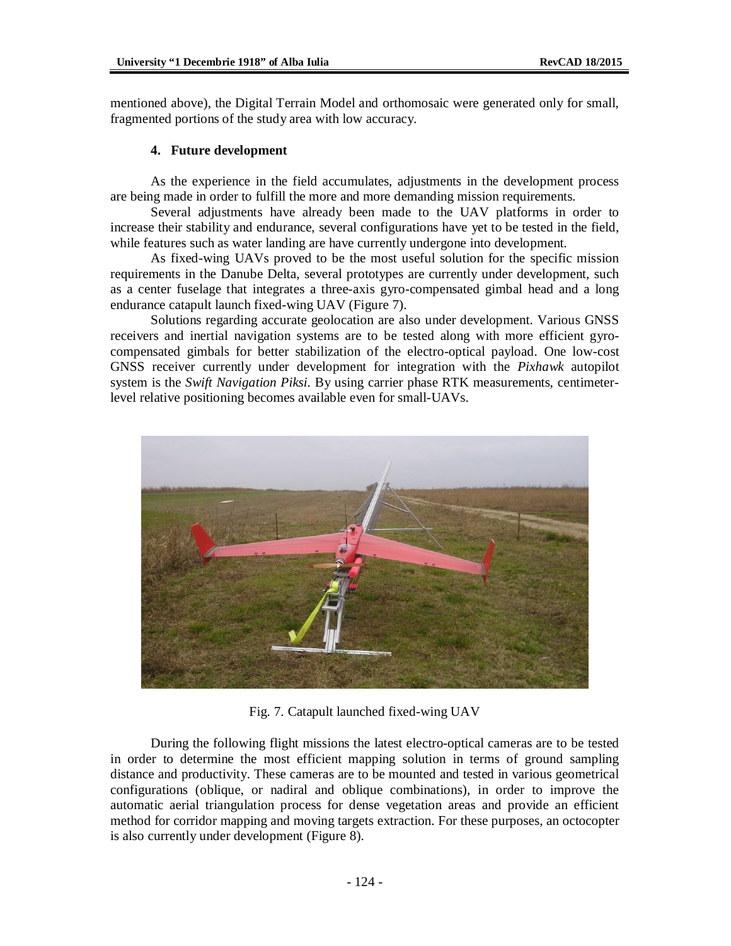mentioned above), the Digital Terrain Model and orthomosaic were generated only for small, fragmented portions of the study area with low accuracy.

### **4. Future development**

As the experience in the field accumulates, adjustments in the development process are being made in order to fulfill the more and more demanding mission requirements.

Several adjustments have already been made to the UAV platforms in order to increase their stability and endurance, several configurations have yet to be tested in the field, while features such as water landing are have currently undergone into development.

As fixed-wing UAVs proved to be the most useful solution for the specific mission requirements in the Danube Delta, several prototypes are currently under development, such as a center fuselage that integrates a three-axis gyro-compensated gimbal head and a long endurance catapult launch fixed-wing UAV (Figure 7).

Solutions regarding accurate geolocation are also under development. Various GNSS receivers and inertial navigation systems are to be tested along with more efficient gyrocompensated gimbals for better stabilization of the electro-optical payload. One low-cost GNSS receiver currently under development for integration with the *Pixhawk* autopilot system is the *Swift Navigation Piksi*. By using carrier phase RTK measurements, centimeterlevel relative positioning becomes available even for small-UAVs.



Fig. 7. Catapult launched fixed-wing UAV

During the following flight missions the latest electro-optical cameras are to be tested in order to determine the most efficient mapping solution in terms of ground sampling distance and productivity. These cameras are to be mounted and tested in various geometrical configurations (oblique, or nadiral and oblique combinations), in order to improve the automatic aerial triangulation process for dense vegetation areas and provide an efficient method for corridor mapping and moving targets extraction. For these purposes, an octocopter is also currently under development (Figure 8).